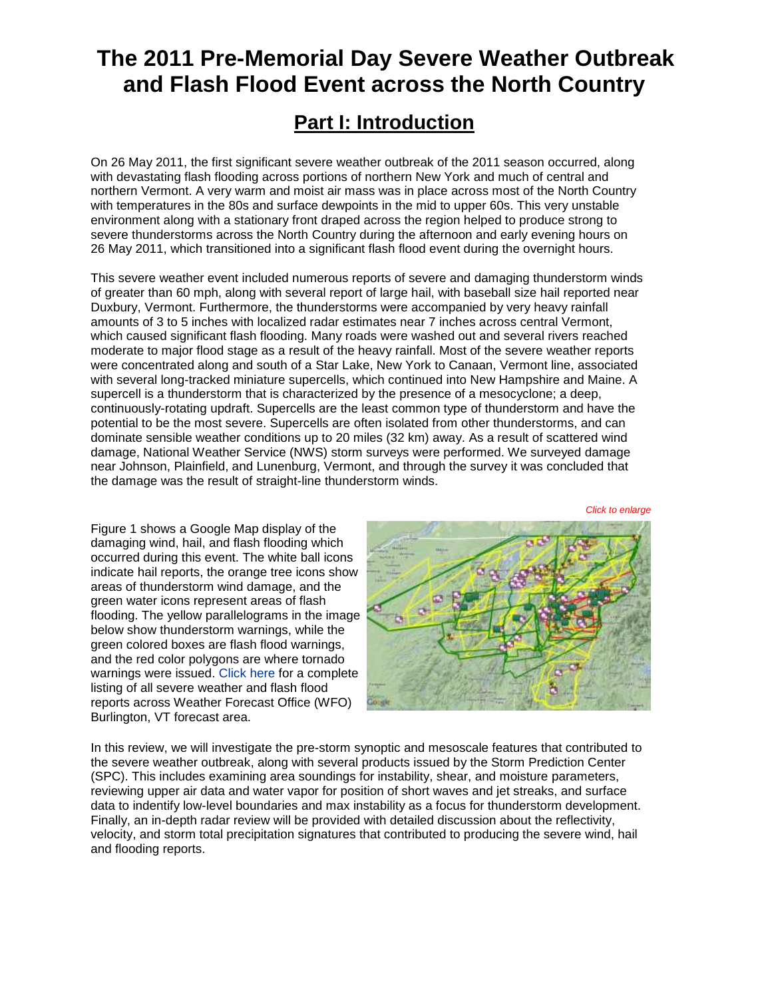# **The 2011 Pre-Memorial Day Severe Weather Outbreak and Flash Flood Event across the North Country**

## **Part I: Introduction**

On 26 May 2011, the first significant severe weather outbreak of the 2011 season occurred, along with devastating flash flooding across portions of northern New York and much of central and northern Vermont. A very warm and moist air mass was in place across most of the North Country with temperatures in the 80s and surface dewpoints in the mid to upper 60s. This very unstable environment along with a stationary front draped across the region helped to produce strong to severe thunderstorms across the North Country during the afternoon and early evening hours on 26 May 2011, which transitioned into a significant flash flood event during the overnight hours.

This severe weather event included numerous reports of severe and damaging thunderstorm winds of greater than 60 mph, along with several report of large hail, with baseball size hail reported near Duxbury, Vermont. Furthermore, the thunderstorms were accompanied by very heavy rainfall amounts of 3 to 5 inches with localized radar estimates near 7 inches across central Vermont, which caused significant flash flooding. Many roads were washed out and several rivers reached moderate to major flood stage as a result of the heavy rainfall. Most of the severe weather reports were concentrated along and south of a Star Lake, New York to Canaan, Vermont line, associated with several long-tracked miniature supercells, which continued into New Hampshire and Maine. A supercell is a thunderstorm that is characterized by the presence of a mesocyclone; a deep, continuously-rotating updraft. Supercells are the least common type of thunderstorm and have the potential to be the most severe. Supercells are often isolated from other thunderstorms, and can dominate sensible weather conditions up to 20 miles (32 km) away. As a result of scattered wind damage, National Weather Service (NWS) storm surveys were performed. We surveyed damage near Johnson, Plainfield, and Lunenburg, Vermont, and through the survey it was concluded that the damage was the result of straight-line thunderstorm winds.

*Click to enlarge*

Figure 1 shows a Google Map display of the damaging wind, hail, and flash flooding which occurred during this event. The white ball icons indicate hail reports, the orange tree icons show areas of thunderstorm wind damage, and the green water icons represent areas of flash flooding. The yellow parallelograms in the image below show thunderstorm warnings, while the green colored boxes are flash flood warnings, and the red color polygons are where tornado warnings were issued. [Click here](http://www.weather.gov/media/btv/events/26May2011/PRELIMINARY_LOCAL_STORM_REPORT.pdf) for a complete listing of all severe weather and flash flood reports across Weather Forecast Office (WFO) Burlington, VT forecast area.



In this review, we will investigate the pre-storm synoptic and mesoscale features that contributed to the severe weather outbreak, along with several products issued by the Storm Prediction Center (SPC). This includes examining area soundings for instability, shear, and moisture parameters, reviewing upper air data and water vapor for position of short waves and jet streaks, and surface data to indentify low-level boundaries and max instability as a focus for thunderstorm development. Finally, an in-depth radar review will be provided with detailed discussion about the reflectivity, velocity, and storm total precipitation signatures that contributed to producing the severe wind, hail and flooding reports.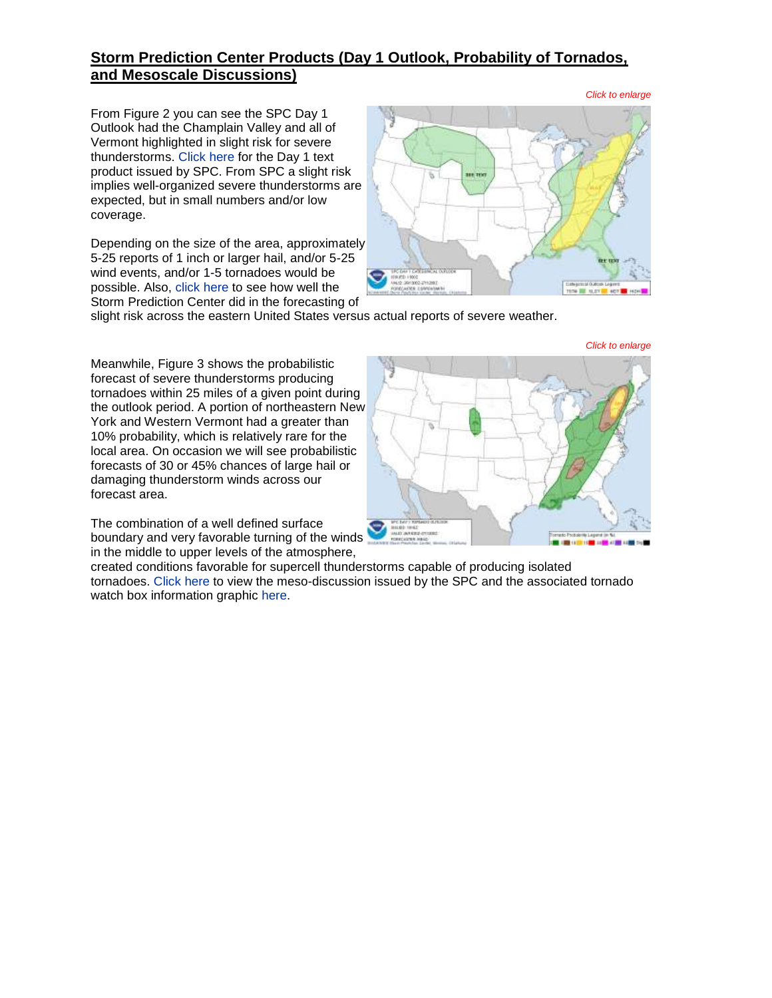## **Storm Prediction Center Products (Day 1 Outlook, Probability of Tornados, and Mesoscale Discussions)**

From Figure 2 you can see the SPC Day 1 Outlook had the Champlain Valley and all of Vermont highlighted in slight risk for severe thunderstorms. [Click here](http://www.weather.gov/media/btv/events/26May2011/SlightRisk12z.pdf) for the Day 1 text product issued by SPC. From SPC a slight risk implies well-organized severe thunderstorms are expected, but in small numbers and/or low coverage.

Depending on the size of the area, approximately 5-25 reports of 1 inch or larger hail, and/or 5-25 wind events, and/or 1-5 tornadoes would be possible. Also, [click here](http://www.weather.gov/media/btv/events/26May2011/day1otlk_v_20110526_1630.gif) to see how well the Storm Prediction Center did in the forecasting of



slight risk across the eastern United States versus actual reports of severe weather.

Meanwhile, Figure 3 shows the probabilistic forecast of severe thunderstorms producing tornadoes within 25 miles of a given point during the outlook period. A portion of northeastern New York and Western Vermont had a greater than 10% probability, which is relatively rare for the local area. On occasion we will see probabilistic forecasts of 30 or 45% chances of large hail or damaging thunderstorm winds across our forecast area.

The combination of a well defined surface boundary and very favorable turning of the winds in the middle to upper levels of the atmosphere,

created conditions favorable for supercell thunderstorms capable of producing isolated tornadoes. [Click here](http://www.weather.gov/media/btv/events/26May2011/MESOSCALE_DISCUSSION_0982.pdf) to view the meso-discussion issued by the SPC and the associated tornado watch box information graphic [here.](http://www.weather.gov/media/btv/events/26May2011/mcd0982.gif)

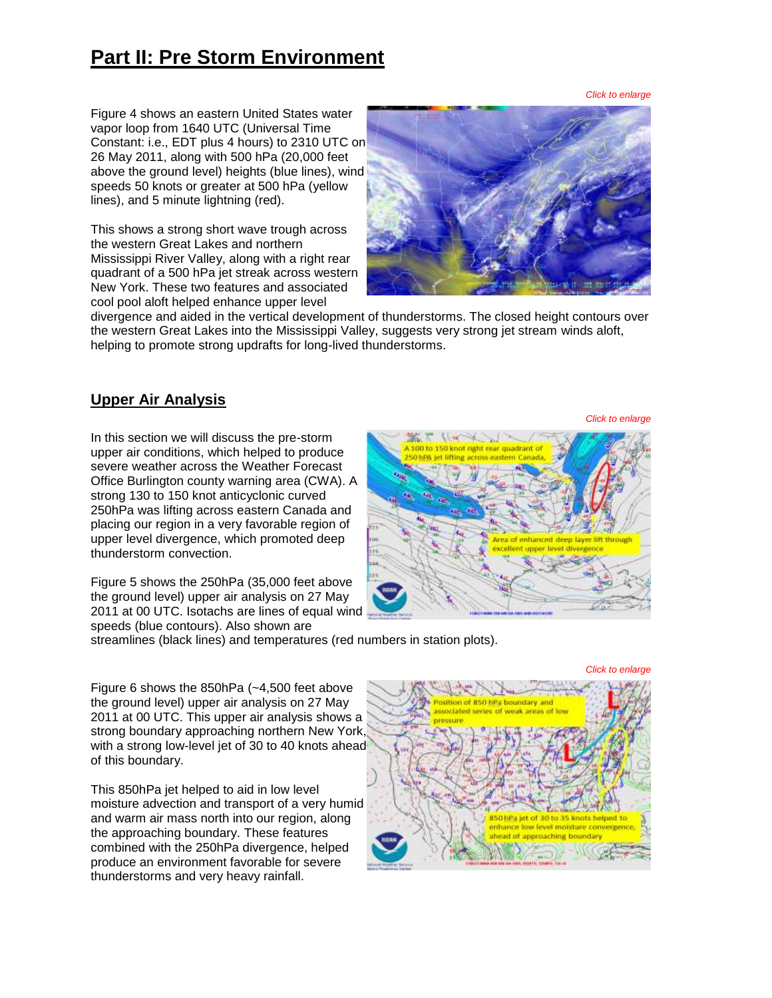# **Part II: Pre Storm Environment**

*Click to enlarge*

Figure 4 shows an eastern United States water vapor loop from 1640 UTC (Universal Time Constant: i.e., EDT plus 4 hours) to 2310 UTC on 26 May 2011, along with 500 hPa (20,000 feet above the ground level) heights (blue lines), wind speeds 50 knots or greater at 500 hPa (yellow lines), and 5 minute lightning (red).

This shows a strong short wave trough across the western Great Lakes and northern Mississippi River Valley, along with a right rear quadrant of a 500 hPa jet streak across western New York. These two features and associated cool pool aloft helped enhance upper level



divergence and aided in the vertical development of thunderstorms. The closed height contours over the western Great Lakes into the Mississippi Valley, suggests very strong jet stream winds aloft, helping to promote strong updrafts for long-lived thunderstorms.

## **Upper Air Analysis**

In this section we will discuss the pre-storm upper air conditions, which helped to produce severe weather across the Weather Forecast Office Burlington county warning area (CWA). A strong 130 to 150 knot anticyclonic curved 250hPa was lifting across eastern Canada and placing our region in a very favorable region of upper level divergence, which promoted deep thunderstorm convection.

Figure 5 shows the 250hPa (35,000 feet above the ground level) upper air analysis on 27 May 2011 at 00 UTC. Isotachs are lines of equal wind speeds (blue contours). Also shown are

# K Klank 7 100 to 150 knot right rear quadrant of **NPA jet lifting across eastern Can** a of enhanced

streamlines (black lines) and temperatures (red numbers in station plots).

Figure 6 shows the 850hPa (~4,500 feet above the ground level) upper air analysis on 27 May 2011 at 00 UTC. This upper air analysis shows a strong boundary approaching northern New York, with a strong low-level jet of 30 to 40 knots ahead of this boundary.

This 850hPa jet helped to aid in low level moisture advection and transport of a very humid and warm air mass north into our region, along the approaching boundary. These features combined with the 250hPa divergence, helped produce an environment favorable for severe thunderstorms and very heavy rainfall.



*Click to enlarge*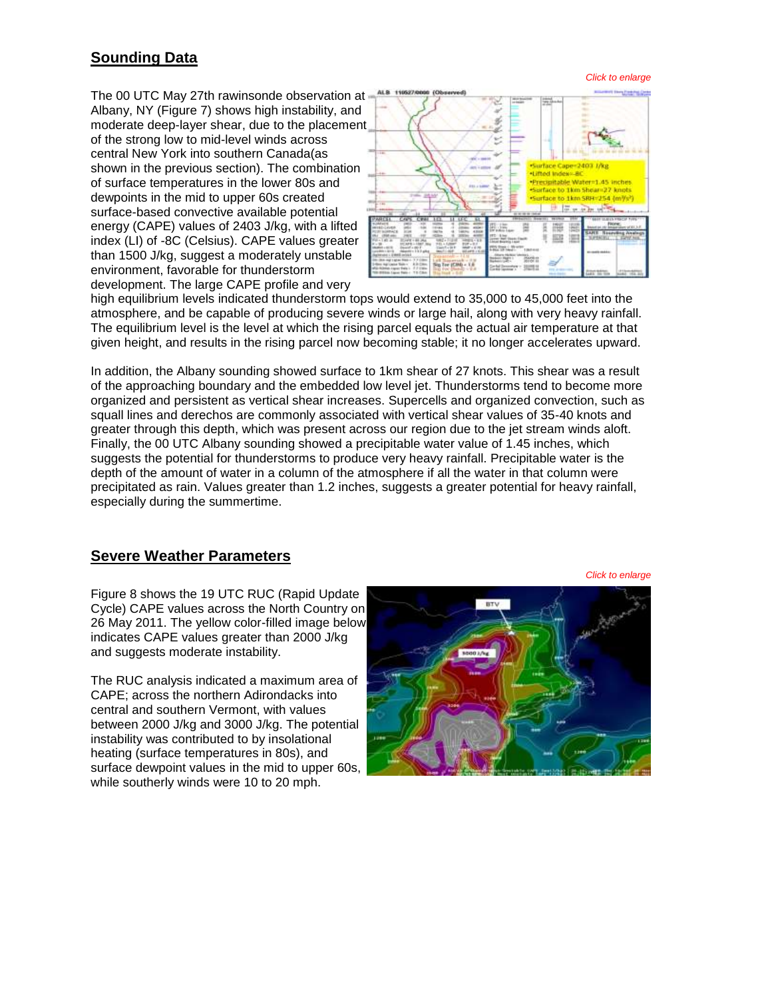## **Sounding Data**

The 00 UTC May 27th rawinsonde observation at Albany, NY (Figure 7) shows high instability, and moderate deep-layer shear, due to the placement of the strong low to mid-level winds across central New York into southern Canada(as shown in the previous section). The combination of surface temperatures in the lower 80s and dewpoints in the mid to upper 60s created surface-based convective available potential energy (CAPE) values of 2403 J/kg, with a lifted index (LI) of -8C (Celsius). CAPE values greater than 1500 J/kg, suggest a moderately unstable environment, favorable for thunderstorm development. The large CAPE profile and very



high equilibrium levels indicated thunderstorm tops would extend to 35,000 to 45,000 feet into the atmosphere, and be capable of producing severe winds or large hail, along with very heavy rainfall. The equilibrium level is the level at which the rising parcel equals the actual air temperature at that given height, and results in the rising parcel now becoming stable; it no longer accelerates upward.

In addition, the Albany sounding showed surface to 1km shear of 27 knots. This shear was a result of the approaching boundary and the embedded low level jet. Thunderstorms tend to become more organized and persistent as vertical shear increases. Supercells and organized convection, such as squall lines and derechos are commonly associated with vertical shear values of 35-40 knots and greater through this depth, which was present across our region due to the jet stream winds aloft. Finally, the 00 UTC Albany sounding showed a precipitable water value of 1.45 inches, which suggests the potential for thunderstorms to produce very heavy rainfall. Precipitable water is the depth of the amount of water in a column of the atmosphere if all the water in that column were precipitated as rain. Values greater than 1.2 inches, suggests a greater potential for heavy rainfall, especially during the summertime.

#### **Severe Weather Parameters**

Figure 8 shows the 19 UTC RUC (Rapid Update Cycle) CAPE values across the North Country on 26 May 2011. The yellow color-filled image below indicates CAPE values greater than 2000 J/kg and suggests moderate instability.

The RUC analysis indicated a maximum area of CAPE; across the northern Adirondacks into central and southern Vermont, with values between 2000 J/kg and 3000 J/kg. The potential instability was contributed to by insolational heating (surface temperatures in 80s), and surface dewpoint values in the mid to upper 60s, while southerly winds were 10 to 20 mph.



*Click to enlarge*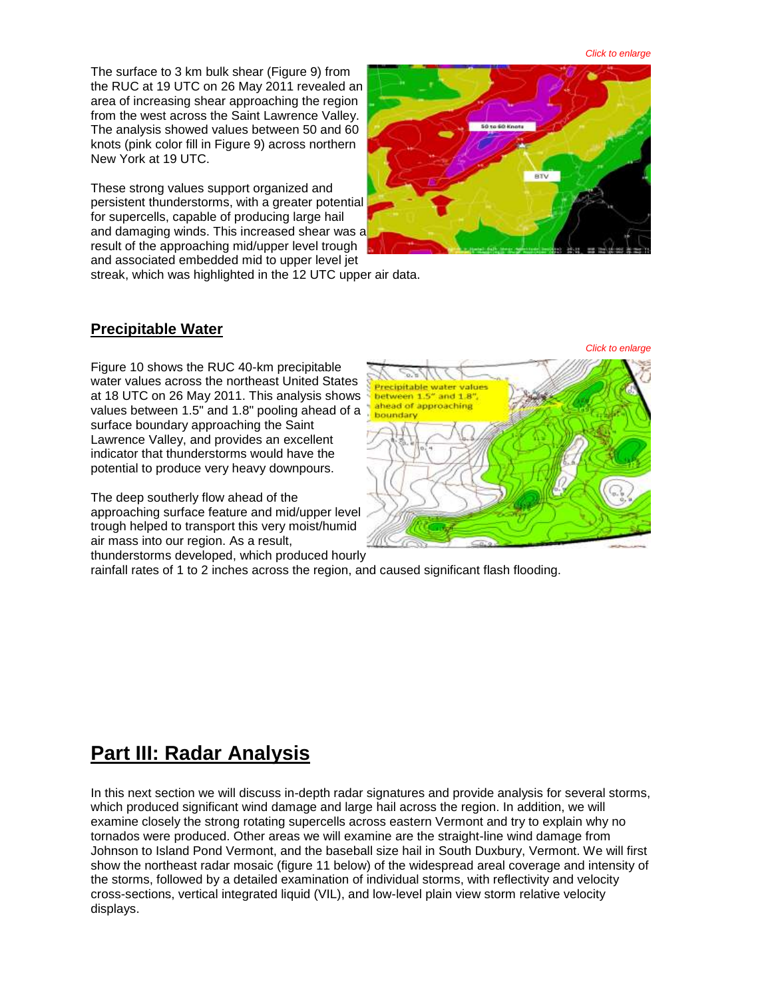*Click to enlarge*

The surface to 3 km bulk shear (Figure 9) from the RUC at 19 UTC on 26 May 2011 revealed an area of increasing shear approaching the region from the west across the Saint Lawrence Valley. The analysis showed values between 50 and 60 knots (pink color fill in Figure 9) across northern New York at 19 UTC.

These strong values support organized and persistent thunderstorms, with a greater potential for supercells, capable of producing large hail and damaging winds. This increased shear was a result of the approaching mid/upper level trough and associated embedded mid to upper level jet streak, which was highlighted in the 12 UTC upper air data.



**Precipitable Water**

Figure 10 shows the RUC 40-km precipitable water values across the northeast United States at 18 UTC on 26 May 2011. This analysis shows values between 1.5" and 1.8" pooling ahead of a surface boundary approaching the Saint Lawrence Valley, and provides an excellent indicator that thunderstorms would have the potential to produce very heavy downpours.

The deep southerly flow ahead of the approaching surface feature and mid/upper level trough helped to transport this very moist/humid air mass into our region. As a result, thunderstorms developed, which produced hourly



rainfall rates of 1 to 2 inches across the region, and caused significant flash flooding.

## **Part III: Radar Analysis**

In this next section we will discuss in-depth radar signatures and provide analysis for several storms, which produced significant wind damage and large hail across the region. In addition, we will examine closely the strong rotating supercells across eastern Vermont and try to explain why no tornados were produced. Other areas we will examine are the straight-line wind damage from Johnson to Island Pond Vermont, and the baseball size hail in South Duxbury, Vermont. We will first show the northeast radar mosaic (figure 11 below) of the widespread areal coverage and intensity of the storms, followed by a detailed examination of individual storms, with reflectivity and velocity cross-sections, vertical integrated liquid (VIL), and low-level plain view storm relative velocity displays.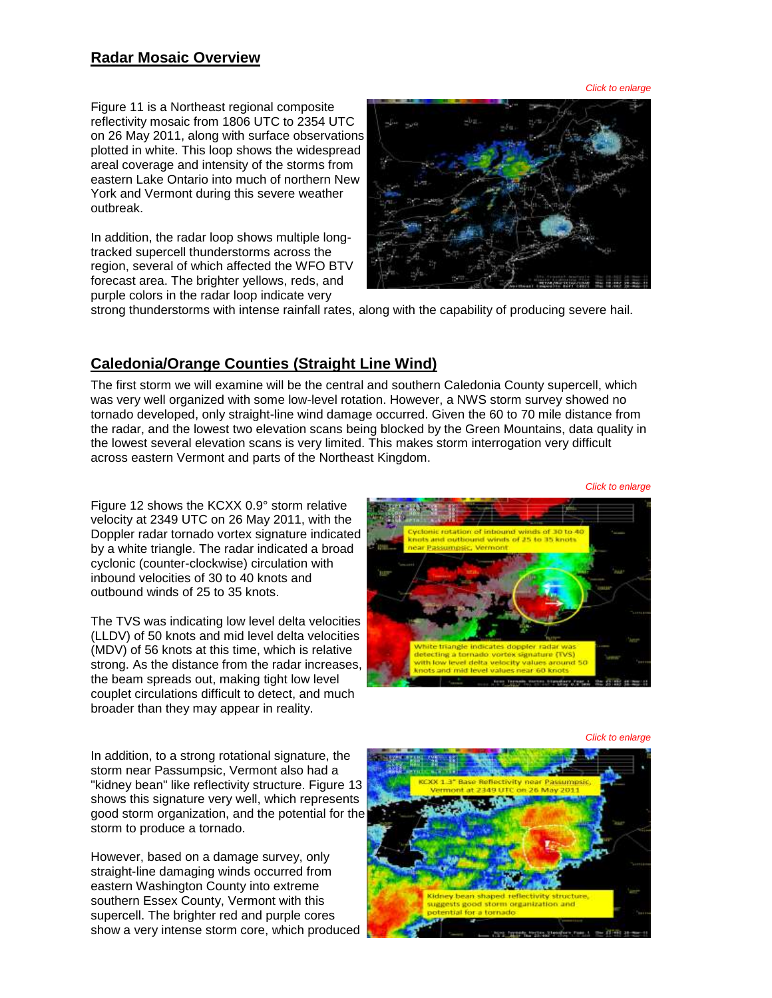#### **Radar Mosaic Overview**

*Click to enlarge*

Figure 11 is a Northeast regional composite reflectivity mosaic from 1806 UTC to 2354 UTC on 26 May 2011, along with surface observations plotted in white. This loop shows the widespread areal coverage and intensity of the storms from eastern Lake Ontario into much of northern New York and Vermont during this severe weather outbreak.

In addition, the radar loop shows multiple longtracked supercell thunderstorms across the region, several of which affected the WFO BTV forecast area. The brighter yellows, reds, and purple colors in the radar loop indicate very



strong thunderstorms with intense rainfall rates, along with the capability of producing severe hail.

## **Caledonia/Orange Counties (Straight Line Wind)**

The first storm we will examine will be the central and southern Caledonia County supercell, which was very well organized with some low-level rotation. However, a NWS storm survey showed no tornado developed, only straight-line wind damage occurred. Given the 60 to 70 mile distance from the radar, and the lowest two elevation scans being blocked by the Green Mountains, data quality in the lowest several elevation scans is very limited. This makes storm interrogation very difficult across eastern Vermont and parts of the Northeast Kingdom.

Figure 12 shows the KCXX 0.9° storm relative velocity at 2349 UTC on 26 May 2011, with the Doppler radar tornado vortex signature indicated by a white triangle. The radar indicated a broad cyclonic (counter-clockwise) circulation with inbound velocities of 30 to 40 knots and outbound winds of 25 to 35 knots.

The TVS was indicating low level delta velocities (LLDV) of 50 knots and mid level delta velocities (MDV) of 56 knots at this time, which is relative strong. As the distance from the radar increases, the beam spreads out, making tight low level couplet circulations difficult to detect, and much broader than they may appear in reality.

winds of 25 to 35 kg

*Click to enlarge*

*Click to enlarge*

In addition, to a strong rotational signature, the storm near Passumpsic, Vermont also had a "kidney bean" like reflectivity structure. Figure 13 shows this signature very well, which represents good storm organization, and the potential for the storm to produce a tornado.

However, based on a damage survey, only straight-line damaging winds occurred from eastern Washington County into extreme southern Essex County, Vermont with this supercell. The brighter red and purple cores show a very intense storm core, which produced

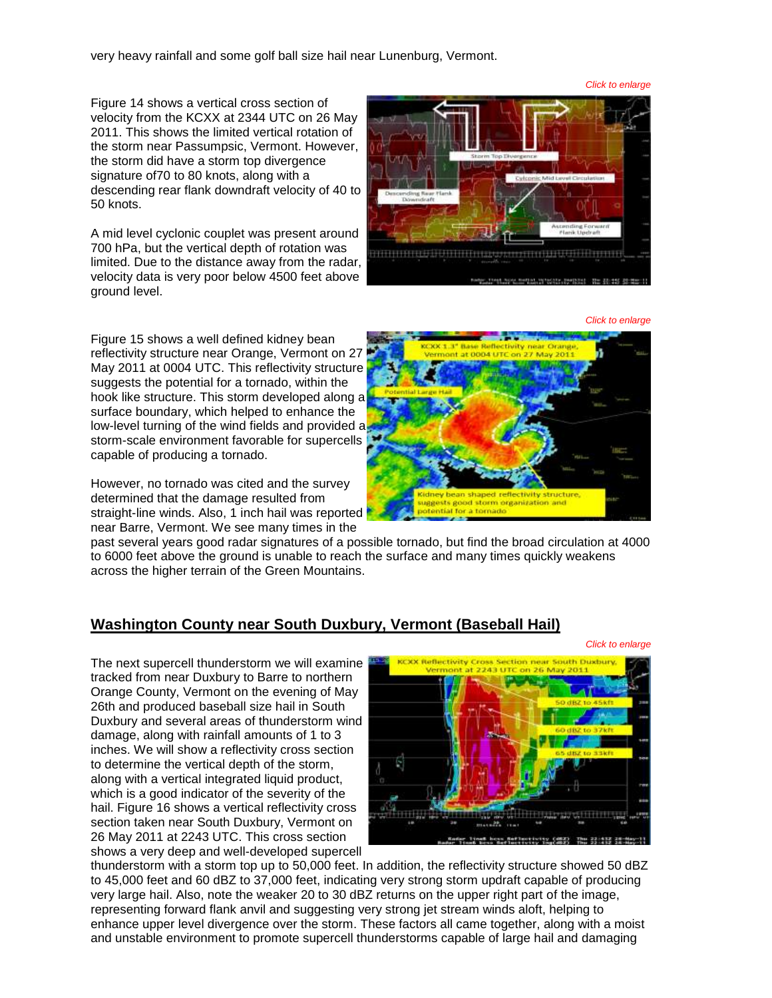very heavy rainfall and some golf ball size hail near Lunenburg, Vermont.

Figure 14 shows a vertical cross section of velocity from the KCXX at 2344 UTC on 26 May 2011. This shows the limited vertical rotation of the storm near Passumpsic, Vermont. However, the storm did have a storm top divergence signature of70 to 80 knots, along with a descending rear flank downdraft velocity of 40 to 50 knots.

A mid level cyclonic couplet was present around 700 hPa, but the vertical depth of rotation was limited. Due to the distance away from the radar, velocity data is very poor below 4500 feet above ground level.

Figure 15 shows a well defined kidney bean reflectivity structure near Orange, Vermont on 27 May 2011 at 0004 UTC. This reflectivity structure suggests the potential for a tornado, within the hook like structure. This storm developed along a surface boundary, which helped to enhance the low-level turning of the wind fields and provided a storm-scale environment favorable for supercells capable of producing a tornado.

However, no tornado was cited and the survey determined that the damage resulted from straight-line winds. Also, 1 inch hail was reported near Barre, Vermont. We see many times in the

past several years good radar signatures of a possible tornado, but find the broad circulation at 4000 to 6000 feet above the ground is unable to reach the surface and many times quickly weakens across the higher terrain of the Green Mountains.

#### **Washington County near South Duxbury, Vermont (Baseball Hail)**

The next supercell thunderstorm we will examine tracked from near Duxbury to Barre to northern Orange County, Vermont on the evening of May 26th and produced baseball size hail in South Duxbury and several areas of thunderstorm wind damage, along with rainfall amounts of 1 to 3 inches. We will show a reflectivity cross section to determine the vertical depth of the storm, along with a vertical integrated liquid product. which is a good indicator of the severity of the hail. Figure 16 shows a vertical reflectivity cross section taken near South Duxbury, Vermont on 26 May 2011 at 2243 UTC. This cross section shows a very deep and well-developed supercell









*Click to enlarge*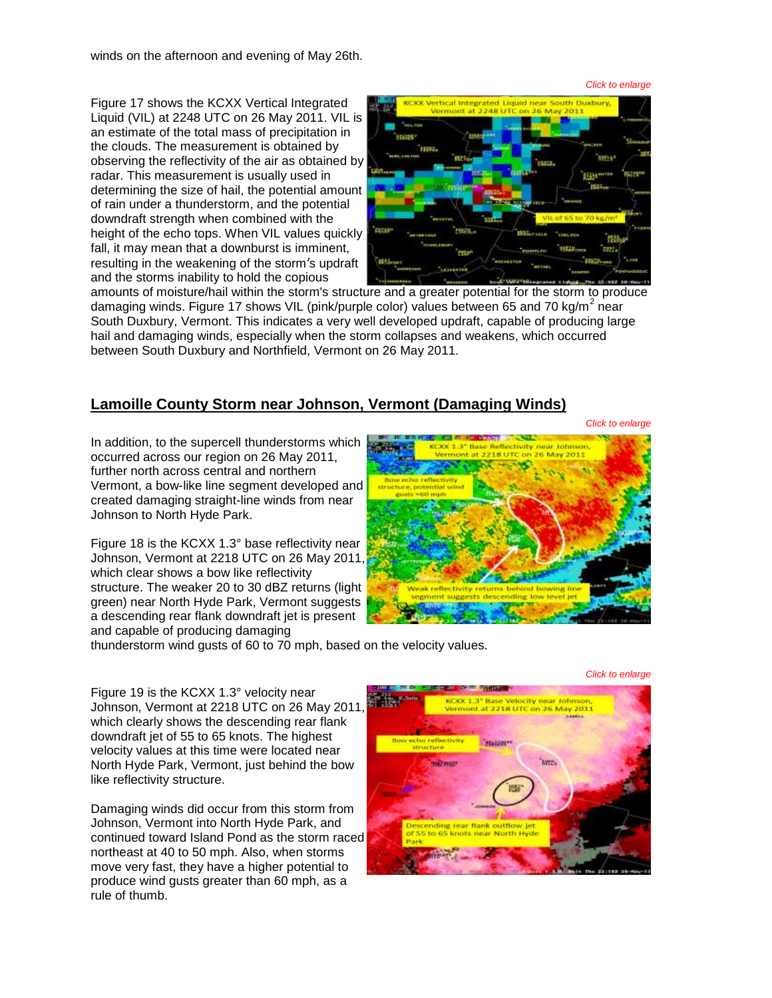winds on the afternoon and evening of May 26th.

*Click to enlarge*

Figure 17 shows the KCXX Vertical Integrated Liquid (VIL) at 2248 UTC on 26 May 2011. VIL is an estimate of the total mass of precipitation in the clouds. The measurement is obtained by observing the reflectivity of the air as obtained by radar. This measurement is usually used in determining the size of hail, the potential amount of rain under a thunderstorm, and the potential downdraft strength when combined with the height of the echo tops. When VIL values quickly fall, it may mean that a downburst is imminent, resulting in the weakening of the storm's updraft and the storms inability to hold the copious



amounts of moisture/hail within the storm's structure and a greater potential for the storm to produce damaging winds. Figure 17 shows VIL (pink/purple color) values between 65 and 70 kg/m<sup>2</sup> near South Duxbury, Vermont. This indicates a very well developed updraft, capable of producing large hail and damaging winds, especially when the storm collapses and weakens, which occurred between South Duxbury and Northfield, Vermont on 26 May 2011.

## **Lamoille County Storm near Johnson, Vermont (Damaging Winds)**

*Click to enlarge*

*Click to enlarge*

In addition, to the supercell thunderstorms which occurred across our region on 26 May 2011, further north across central and northern Vermont, a bow-like line segment developed and created damaging straight-line winds from near Johnson to North Hyde Park.

Figure 18 is the KCXX 1.3° base reflectivity near Johnson, Vermont at 2218 UTC on 26 May 2011, which clear shows a bow like reflectivity structure. The weaker 20 to 30 dBZ returns (light green) near North Hyde Park, Vermont suggests a descending rear flank downdraft jet is present and capable of producing damaging



thunderstorm wind gusts of 60 to 70 mph, based on the velocity values.

Figure 19 is the KCXX 1.3° velocity near Johnson, Vermont at 2218 UTC on 26 May 2011, which clearly shows the descending rear flank downdraft jet of 55 to 65 knots. The highest velocity values at this time were located near North Hyde Park, Vermont, just behind the bow like reflectivity structure.

Damaging winds did occur from this storm from Johnson, Vermont into North Hyde Park, and continued toward Island Pond as the storm raced northeast at 40 to 50 mph. Also, when storms move very fast, they have a higher potential to produce wind gusts greater than 60 mph, as a rule of thumb.

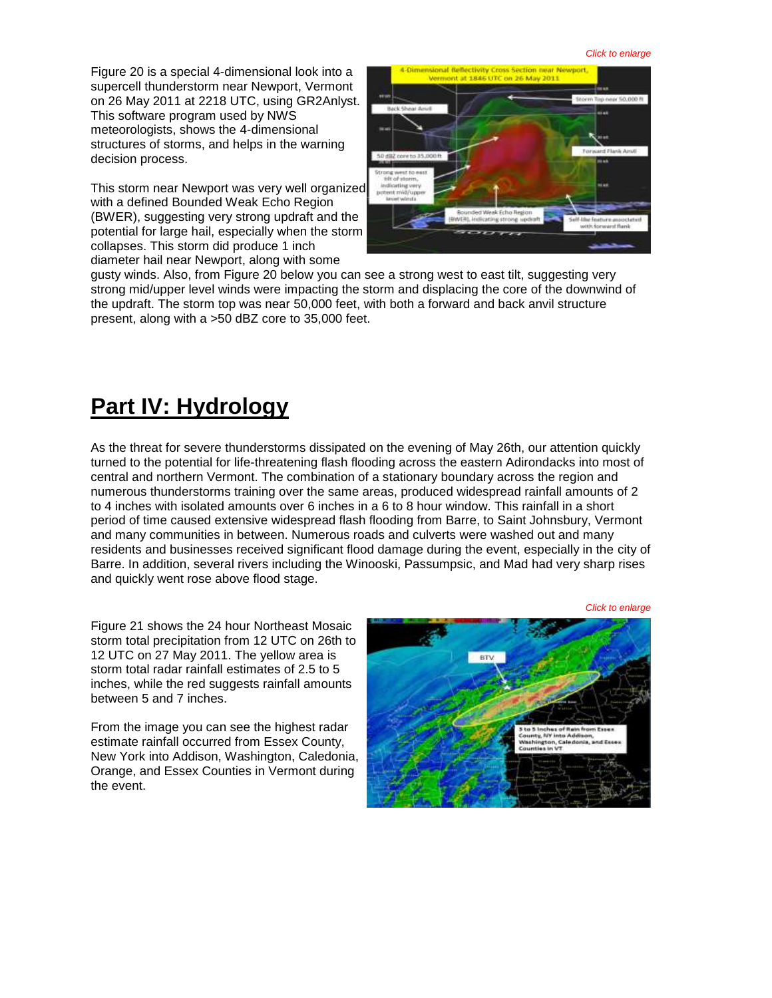Figure 20 is a special 4-dimensional look into a supercell thunderstorm near Newport, Vermont on 26 May 2011 at 2218 UTC, using GR2Anlyst. This software program used by NWS meteorologists, shows the 4-dimensional structures of storms, and helps in the warning decision process.

This storm near Newport was very well organized with a defined Bounded Weak Echo Region (BWER), suggesting very strong updraft and the potential for large hail, especially when the storm collapses. This storm did produce 1 inch diameter hail near Newport, along with some



gusty winds. Also, from Figure 20 below you can see a strong west to east tilt, suggesting very strong mid/upper level winds were impacting the storm and displacing the core of the downwind of the updraft. The storm top was near 50,000 feet, with both a forward and back anvil structure present, along with a >50 dBZ core to 35,000 feet.

# **Part IV: Hydrology**

As the threat for severe thunderstorms dissipated on the evening of May 26th, our attention quickly turned to the potential for life-threatening flash flooding across the eastern Adirondacks into most of central and northern Vermont. The combination of a stationary boundary across the region and numerous thunderstorms training over the same areas, produced widespread rainfall amounts of 2 to 4 inches with isolated amounts over 6 inches in a 6 to 8 hour window. This rainfall in a short period of time caused extensive widespread flash flooding from Barre, to Saint Johnsbury, Vermont and many communities in between. Numerous roads and culverts were washed out and many residents and businesses received significant flood damage during the event, especially in the city of Barre. In addition, several rivers including the Winooski, Passumpsic, and Mad had very sharp rises and quickly went rose above flood stage.

Figure 21 shows the 24 hour Northeast Mosaic storm total precipitation from 12 UTC on 26th to 12 UTC on 27 May 2011. The yellow area is storm total radar rainfall estimates of 2.5 to 5 inches, while the red suggests rainfall amounts between 5 and 7 inches.

From the image you can see the highest radar estimate rainfall occurred from Essex County, New York into Addison, Washington, Caledonia, Orange, and Essex Counties in Vermont during the event.

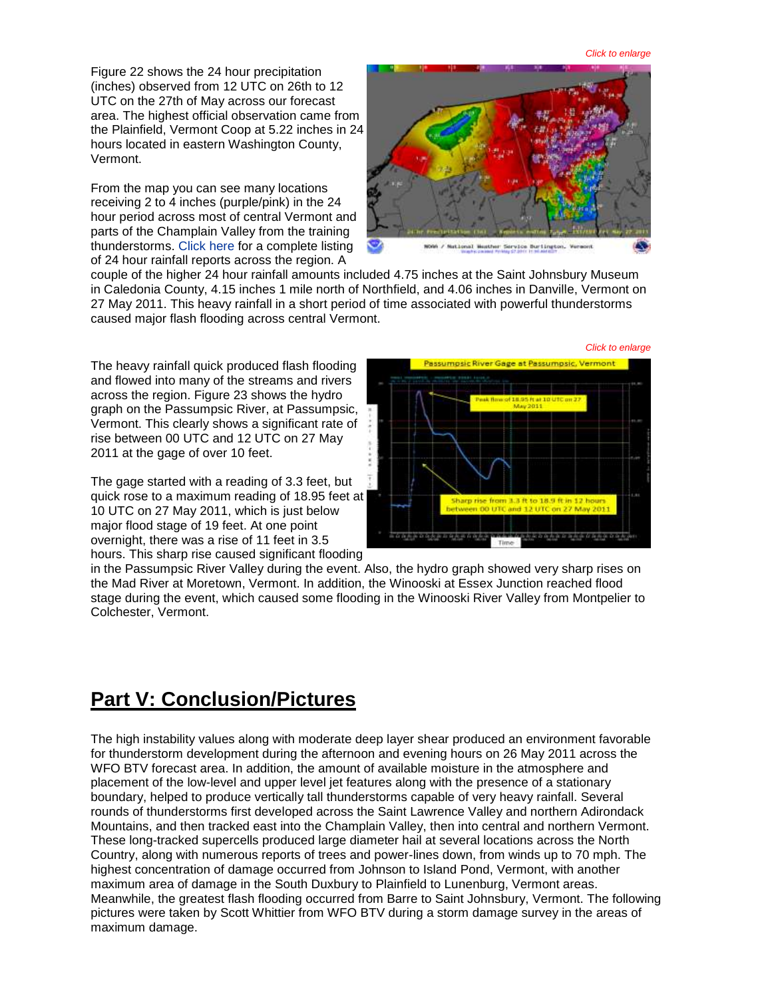*Click to enlarge*

Figure 22 shows the 24 hour precipitation (inches) observed from 12 UTC on 26th to 12 UTC on the 27th of May across our forecast area. The highest official observation came from the Plainfield, Vermont Coop at 5.22 inches in 24 hours located in eastern Washington County, Vermont.

From the map you can see many locations receiving 2 to 4 inches (purple/pink) in the 24 hour period across most of central Vermont and parts of the Champlain Valley from the training thunderstorms. [Click here](http://www.weather.gov/media/btv/events/26May2011/24_HOUR_RAINFALL.pdf) for a complete listing of 24 hour rainfall reports across the region. A



couple of the higher 24 hour rainfall amounts included 4.75 inches at the Saint Johnsbury Museum in Caledonia County, 4.15 inches 1 mile north of Northfield, and 4.06 inches in Danville, Vermont on 27 May 2011. This heavy rainfall in a short period of time associated with powerful thunderstorms caused major flash flooding across central Vermont.

The heavy rainfall quick produced flash flooding and flowed into many of the streams and rivers across the region. Figure 23 shows the hydro graph on the Passumpsic River, at Passumpsic, Vermont. This clearly shows a significant rate of rise between 00 UTC and 12 UTC on 27 May 2011 at the gage of over 10 feet.

The gage started with a reading of 3.3 feet, but quick rose to a maximum reading of 18.95 feet at 10 UTC on 27 May 2011, which is just below major flood stage of 19 feet. At one point overnight, there was a rise of 11 feet in 3.5 hours. This sharp rise caused significant flooding



in the Passumpsic River Valley during the event. Also, the hydro graph showed very sharp rises on the Mad River at Moretown, Vermont. In addition, the Winooski at Essex Junction reached flood stage during the event, which caused some flooding in the Winooski River Valley from Montpelier to Colchester, Vermont.

## **Part V: Conclusion/Pictures**

The high instability values along with moderate deep layer shear produced an environment favorable for thunderstorm development during the afternoon and evening hours on 26 May 2011 across the WFO BTV forecast area. In addition, the amount of available moisture in the atmosphere and placement of the low-level and upper level jet features along with the presence of a stationary boundary, helped to produce vertically tall thunderstorms capable of very heavy rainfall. Several rounds of thunderstorms first developed across the Saint Lawrence Valley and northern Adirondack Mountains, and then tracked east into the Champlain Valley, then into central and northern Vermont. These long-tracked supercells produced large diameter hail at several locations across the North Country, along with numerous reports of trees and power-lines down, from winds up to 70 mph. The highest concentration of damage occurred from Johnson to Island Pond, Vermont, with another maximum area of damage in the South Duxbury to Plainfield to Lunenburg, Vermont areas. Meanwhile, the greatest flash flooding occurred from Barre to Saint Johnsbury, Vermont. The following pictures were taken by Scott Whittier from WFO BTV during a storm damage survey in the areas of maximum damage.